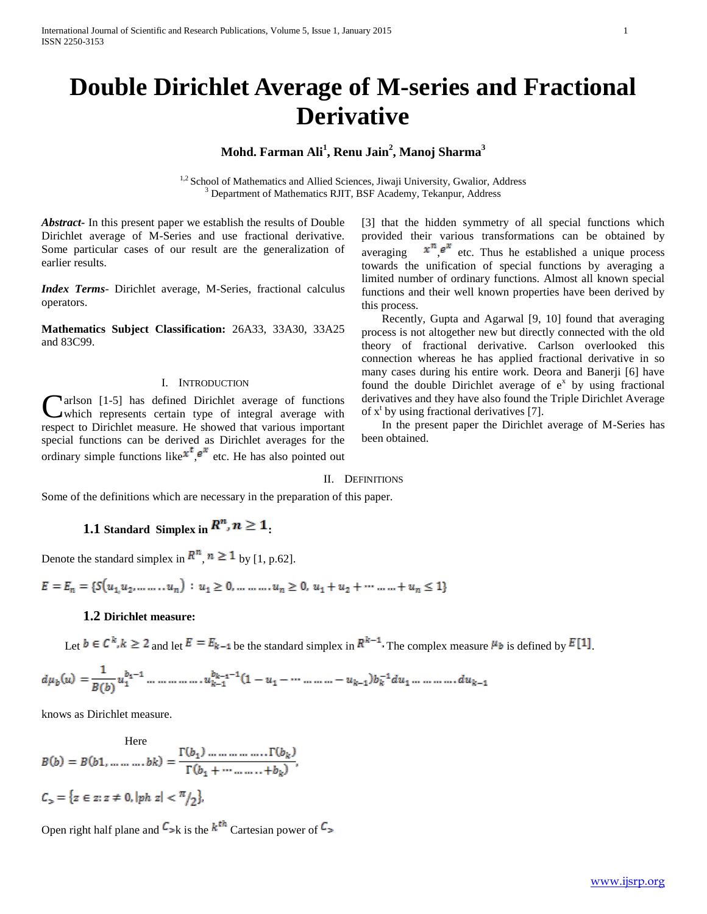# **Double Dirichlet Average of M-series and Fractional Derivative**

## **Mohd. Farman Ali<sup>1</sup> , Renu Jain<sup>2</sup> , Manoj Sharma<sup>3</sup>**

<sup>1,2</sup> School of Mathematics and Allied Sciences, Jiwaji University, Gwalior, Address <sup>3</sup> Department of Mathematics RJIT, BSF Academy, Tekanpur, Address

*Abstract***-** In this present paper we establish the results of Double Dirichlet average of M-Series and use fractional derivative. Some particular cases of our result are the generalization of earlier results.

*Index Terms*- Dirichlet average, M-Series, fractional calculus operators.

**Mathematics Subject Classification:** 26A33, 33A30, 33A25 and 83C99.

### I. INTRODUCTION

**Narlson** [1-5] has defined Dirichlet average of functions which represents certain type of integral average with **C**arlson [1-5] has defined Dirichlet average of functions<br>which represents certain type of integral average with<br>respect to Dirichlet measure. He showed that various important special functions can be derived as Dirichlet averages for the ordinary simple functions like  $x^t, e^x$  etc. He has also pointed out

[3] that the hidden symmetry of all special functions which provided their various transformations can be obtained by averaging  $x^n e^x$  etc. Thus he established a unique process towards the unification of special functions by averaging a limited number of ordinary functions. Almost all known special functions and their well known properties have been derived by this process.

 Recently, Gupta and Agarwal [9, 10] found that averaging process is not altogether new but directly connected with the old theory of fractional derivative. Carlson overlooked this connection whereas he has applied fractional derivative in so many cases during his entire work. Deora and Banerji [6] have found the double Dirichlet average of  $e^x$  by using fractional derivatives and they have also found the Triple Dirichlet Average of  $x^t$  by using fractional derivatives [7].

 In the present paper the Dirichlet average of M-Series has been obtained.

### II. DEFINITIONS

Some of the definitions which are necessary in the preparation of this paper.

# **1.1 Standard Simplex in**  $\mathbb{R}^n$ **,**  $n \geq 1$ **.**

Denote the standard simplex in  $R^n$ ,  $n \ge 1$  by [1, p.62].

 $E = E_n = \{S(u_1, u_2, \dots, u_n) : u_1 \ge 0, \dots, u_n \ge 0, u_1 + u_2 + \dots + u_n \le 1\}$ 

### **1.2 Dirichlet measure:**

Let  $b \in C^k, k \ge 2$  and let  $E = E_{k-1}$  be the standard simplex in  $R^{k-1}$ . The complex measure  $\mu_{b}$  is defined by  $E[1]$ .

knows as Dirichlet measure.

 $B(b) = B(b1, \dots, bk) = \frac{\Gamma(b_1) \dots \dots \dots \dots \dots \Gamma(b_k)}{\Gamma(b_k + \dots, b_k)},$  $C_{\gamma} = \{z \in z : z \neq 0, |ph|z| < \frac{\pi}{2}\}.$ 

Open right half plane and  $C_{>k}$  is the  $k^{th}$  Cartesian power of  $C_{>k}$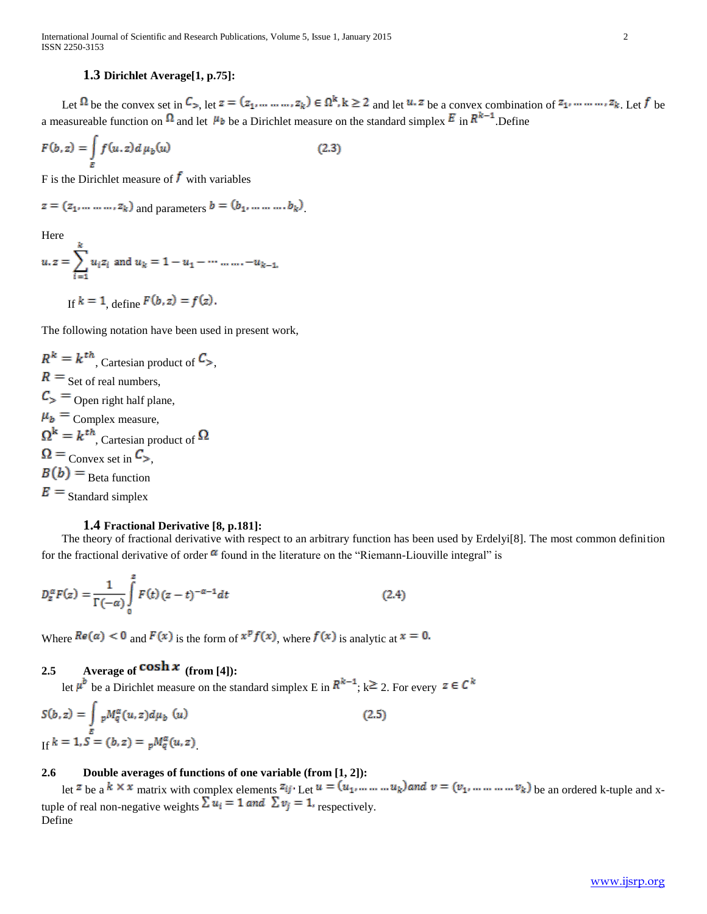### **1.3 Dirichlet Average[1, p.75]:**

Let  $\Omega$  be the convex set in  $C_{>}$ , let  $z = (z_1, \ldots, z_k) \in \Omega^k$ ,  $k \ge 2$  and let  $u, z$  be a convex combination of  $z_1, \ldots, z_k$ . Let f be a measureable function on  $\Omega$  and let  $\mu_b$  be a Dirichlet measure on the standard simplex  $E$  in  $R^{k-1}$ . Define

$$
F(b, z) = \int_{E} f(u, z) d\mu_b(u)
$$
 (2.3)

F is the Dirichlet measure of  $\ddot{f}$  with variables

$$
z = (z_1, ..., ..., z_k)
$$
 and parameters  $b = (b_1, ..., ..., b_k)$ 

Here

$$
u. z = \sum_{i=1}^{k} u_i z_i \text{ and } u_k = 1 - u_1 - \dots \dots \dots - u_{k-1}.
$$
  
If  $k = 1$ , define  $F(b, z) = f(z)$ .

The following notation have been used in present work,

$$
R^{k} = k^{th}
$$
, Cartesian product of  $C_{>}$ ,  
\n $R =$  Set of real numbers,  
\n $C_{>}$  = Open right half plane,  
\n $\mu_{b}$  = Complex measure,  
\n $\Omega^{k} = k^{th}$ , Cartesian product of  $\Omega$   
\n $\Omega =$  Convex set in  $C_{>}$ ,  
\n $B(b)$  = Beta function  
\n $E =$  Standard simplex

### **1.4 Fractional Derivative [8, p.181]:**

 The theory of fractional derivative with respect to an arbitrary function has been used by Erdelyi[8]. The most common definition for the fractional derivative of order  $\alpha$  found in the literature on the "Riemann-Liouville integral" is

$$
D_z^{\alpha}F(z) = \frac{1}{\Gamma(-\alpha)} \int_{0}^{z} F(t) (z - t)^{-\alpha - 1} dt
$$
 (2.4)

Where  $Re(\alpha) < 0$  and  $F(x)$  is the form of  $x^p f(x)$ , where  $f(x)$  is analytic at  $x = 0$ .

# **2.5** Average of  $\cosh x$  (from [4]):

let  $\mu^{b}$  be a Dirichlet measure on the standard simplex E in  $R^{k-1}$ ;  $k \ge 2$ . For every  $z \in C^{k}$ 

$$
S(b, z) = \int_{E} pM_q^{\alpha}(u, z)d\mu_b(u)
$$
  
If  $k = 1, S = (b, z) = pM_q^{\alpha}(u, z)$  (2.5)

### **2.6 Double averages of functions of one variable (from [1, 2]):**

let  $z$  be a  $\kappa \times x$  matrix with complex elements  $z_{ij}$ . Let  $u = (u_1, ..., u_k)$  and  $v = (v_1, ..., w_k)$  be an ordered k-tuple and xtuple of real non-negative weights  $\Delta u_i = \text{I}$  and  $\Delta v_j = \text{I}$ , respectively. Define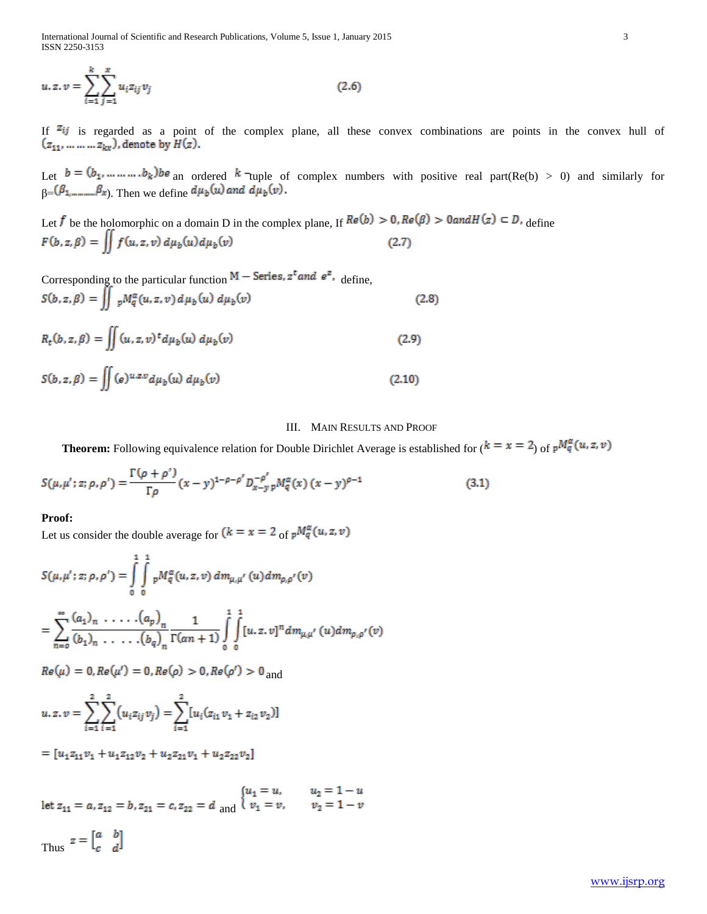International Journal of Scientific and Research Publications, Volume 5, Issue 1, January 2015 3 ISSN 2250-3153

$$
u, z, v = \sum_{i=1}^{k} \sum_{j=1}^{x} u_i z_{ij} v_j
$$
 (2.6)

If  $z_{ij}$  is regarded as a point of the complex plane, all these convex combinations are points in the convex hull of  $(z_{11}, \ldots \ldots \ldots z_{kx})$ , denote by  $H(z)$ .

Let  $b = (b_1, ..., ..., b_k)$  an ordered k<sup>-</sup>tuple of complex numbers with positive real part(Re(b) > 0) and similarly for  $\beta = (P_1, \dots, P_x)$ . Then we define

Let f be the holomorphic on a domain D in the complex plane, If  $Re(b) > 0$ ,  $Re(\beta) > 0$  and  $H(z) \subset D$ , define  $F(b,z,\beta) = \iint f(u,z,v) d\mu_b(u) d\mu_b(v)$  $(2.7)$ 

Corresponding to the particular function  $M -$  Series,  $z^t$  and  $e^z$ , define,

$$
S(b, z, \beta) = \iint_{\mathcal{P}} M_q^{\alpha}(u, z, v) d\mu_b(u) d\mu_b(v)
$$
 (2.8)

$$
R_{t}(b, z, \beta) = \iint (u, z, v)^{t} d\mu_{b}(u) d\mu_{b}(v)
$$
 (2.9)

$$
S(b, z, \beta) = \iint (e)^{u.z.v} d\mu_b(u) d\mu_b(v)
$$
\n(2.10)

### III. MAIN RESULTS AND PROOF

**Theorem:** Following equivalence relation for Double Dirichlet Average is established for  $(k = x = 2)$  of  $pM_q^{\alpha}(u, z, v)$ 

$$
S(\mu, \mu'; z; \rho, \rho') = \frac{\Gamma(\rho + \rho')}{\Gamma \rho} (x - y)^{1 - \rho - \rho'} D_{x - y}^{-\rho'} p M_q^{\alpha}(x) (x - y)^{\rho - 1}
$$
(3.1)

### **Proof:**

Let us consider the double average for  $(k = x = 2 \frac{1}{\omega} \int_{\alpha}^{\alpha} u dx, z, v)$ 

$$
S(\mu, \mu'; z; \rho, \rho') = \int_{0}^{1} \int_{0}^{1} {}_{p}M_{q}^{\alpha}(u, z, v) dm_{\mu, \mu'}(u) dm_{\rho, \rho'}(v)
$$
  
= 
$$
\sum_{n=0}^{\infty} \frac{(a_{1})_{n} \cdot \ldots \cdot (a_{p})_{n}}{(b_{1})_{n} \cdot \ldots \cdot (b_{q})_{n}} \frac{1}{\Gamma(\alpha n + 1)} \int_{0}^{1} \int_{0}^{1} [u, z, v]^{n} dm_{\mu, \mu'}(u) dm_{\rho, \rho'}(v)
$$
  
Re(\mu) = 0, Re(\mu') = 0, Re(\rho) > 0, Re(\rho') > 0 and  

$$
2 \quad 2 \quad 2 \quad 2
$$

$$
u. z. v = \sum_{i=1}^{2} \sum_{i=1}^{2} (u_i z_{ij} v_j) = \sum_{i=1}^{2} [u_i (z_{i1} v_1 + z_{i2} v_2)]
$$

 $=[u_1z_{11}v_1+u_1z_{12}v_2+u_2z_{21}v_1+u_2z_{22}v_2]$ 

 $\label{eq:2.1} \text{let}\ z_{11}=a, z_{12}=b, z_{21}=c, z_{22}=d\ \text{and}\ \begin{cases} u_1=u,\quad &u_2=1-u\\ v_1=v,\quad &v_2=1-v \end{cases}$ 

Thus  $z = \begin{bmatrix} a & b \\ c & d \end{bmatrix}$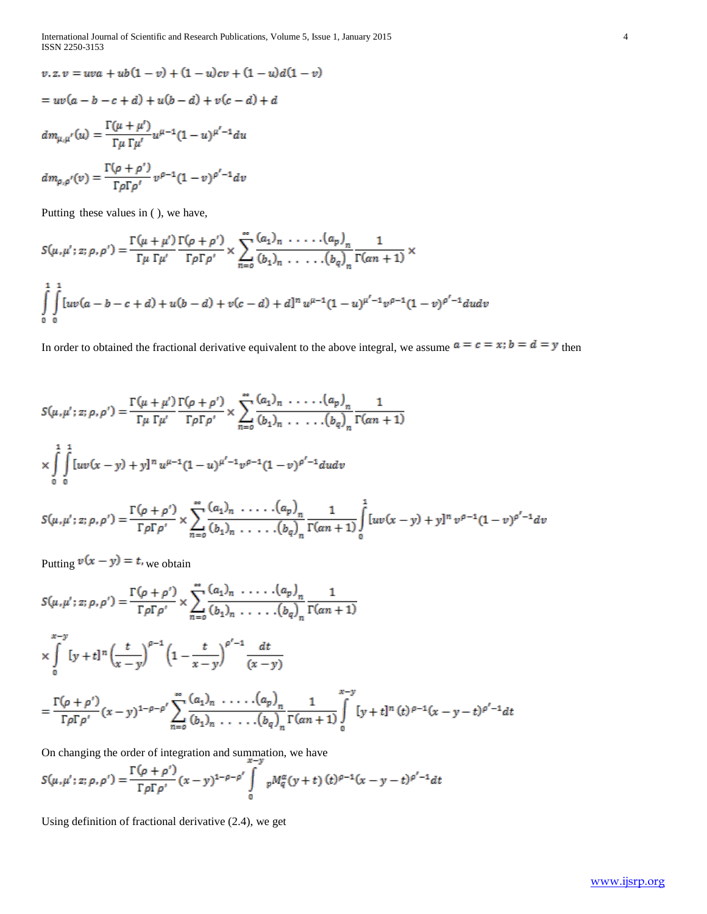$$
v.z. v = uva + ub(1 - v) + (1 - u)cv + (1 - u)d(1 - v)
$$
  
=  $uv(a - b - c + d) + u(b - d) + v(c - d) + d$   

$$
dm_{\mu,\mu'}(u) = \frac{\Gamma(\mu + \mu')}{\Gamma\mu \Gamma\mu'}u^{\mu-1}(1 - u)^{\mu'-1}du
$$
  

$$
dm_{\rho,\rho'}(v) = \frac{\Gamma(\rho + \rho')}{\Gamma\rho\Gamma\rho'}v^{\rho-1}(1 - v)^{\rho'-1}dv
$$

Putting these values in ( ), we have,

$$
S(\mu, \mu'; z; \rho, \rho') = \frac{\Gamma(\mu + \mu')}{\Gamma \mu \Gamma \mu'} \frac{\Gamma(\rho + \rho')}{\Gamma \rho \Gamma \rho'} \times \sum_{n=0}^{\infty} \frac{(a_1)_n \cdot \ldots \cdot (a_p)_n}{(b_1)_n \cdot \ldots \cdot (b_q)_n} \frac{1}{\Gamma(\alpha n + 1)} \times
$$
  

$$
\int_{0}^{1} \int_{0}^{1} [uv(a - b - c + d) + u(b - d) + v(c - d) + d]^n u^{\mu-1} (1 - u)^{\mu'-1} v^{\rho-1} (1 - v)^{\rho'-1} du dv
$$

In order to obtained the fractional derivative equivalent to the above integral, we assume  $a = c = x$ ;  $b = d = y$  then

$$
S(\mu, \mu'; z; \rho, \rho') = \frac{\Gamma(\mu + \mu')}{\Gamma \mu \Gamma \mu'} \frac{\Gamma(\rho + \rho')}{\Gamma \rho \Gamma \rho'} \times \sum_{n=0}^{\infty} \frac{(a_1)_n \cdot \ldots \cdot (a_p)_n}{(b_1)_n \cdot \ldots \cdot (b_q)_n} \frac{1}{\Gamma(\alpha n + 1)}
$$
  
 
$$
\times \int_{0}^{1} \int_{0}^{1} [uv(x - y) + y]^{n} u^{\mu - 1} (1 - u)^{\mu' - 1} v^{\rho - 1} (1 - v)^{\rho' - 1} du dv
$$

$$
S(\mu, \mu'; z; \rho, \rho') = \frac{\Gamma(\rho + \rho')}{\Gamma \rho \Gamma \rho'} \times \sum_{n=0}^{\infty} \frac{(a_1)_n \cdot \ldots \cdot (a_p)_n}{(b_1)_n \cdot \ldots \cdot (b_q)_n} \frac{1}{\Gamma(\alpha n + 1)} \int_{0}^{1} [uv(x - y) + y]^n v^{\rho-1} (1 - v)^{\rho'-1} dv
$$

Putting  $v(x - y) = t$ , we obtain

$$
S(\mu, \mu'; z; \rho, \rho') = \frac{\Gamma(\rho + \rho')}{\Gamma \rho \Gamma \rho'} \times \sum_{n=0}^{\infty} \frac{(a_1)_n \cdot \ldots \cdot (a_p)_n}{(b_1)_n \cdot \ldots \cdot (b_q)_n} \frac{1}{\Gamma(\alpha n + 1)}
$$
  

$$
\times \int_{0}^{x-y} [y+t]^n \left(\frac{t}{x-y}\right)^{\rho-1} \left(1 - \frac{t}{x-y}\right)^{\rho'-1} \frac{dt}{(x-y)}
$$
  

$$
= \frac{\Gamma(\rho + \rho')}{\Gamma \rho \Gamma \rho'} (x-y)^{1-\rho-\rho'} \sum_{n=0}^{\infty} \frac{(a_1)_n \cdot \ldots \cdot (a_p)_n}{(b_1)_n \cdot \ldots \cdot (b_q)_n} \frac{1}{\Gamma(\alpha n + 1)} \int_{0}^{x-y} [y+t]^n (t)^{\rho-1} (x-y-t)^{\rho'-1} dt
$$

On changing the order of integration and summation, we have

$$
S(\mu, \mu'; z; \rho, \rho') = \frac{\Gamma(\rho + \rho')}{\Gamma \rho \Gamma \rho'} (x - y)^{1 - \rho - \rho'} \int_{0}^{\infty} p M_{q}^{\alpha}(y + t) (t)^{\rho - 1}(x - y - t)^{\rho' - 1} dt
$$

Using definition of fractional derivative (2.4), we get